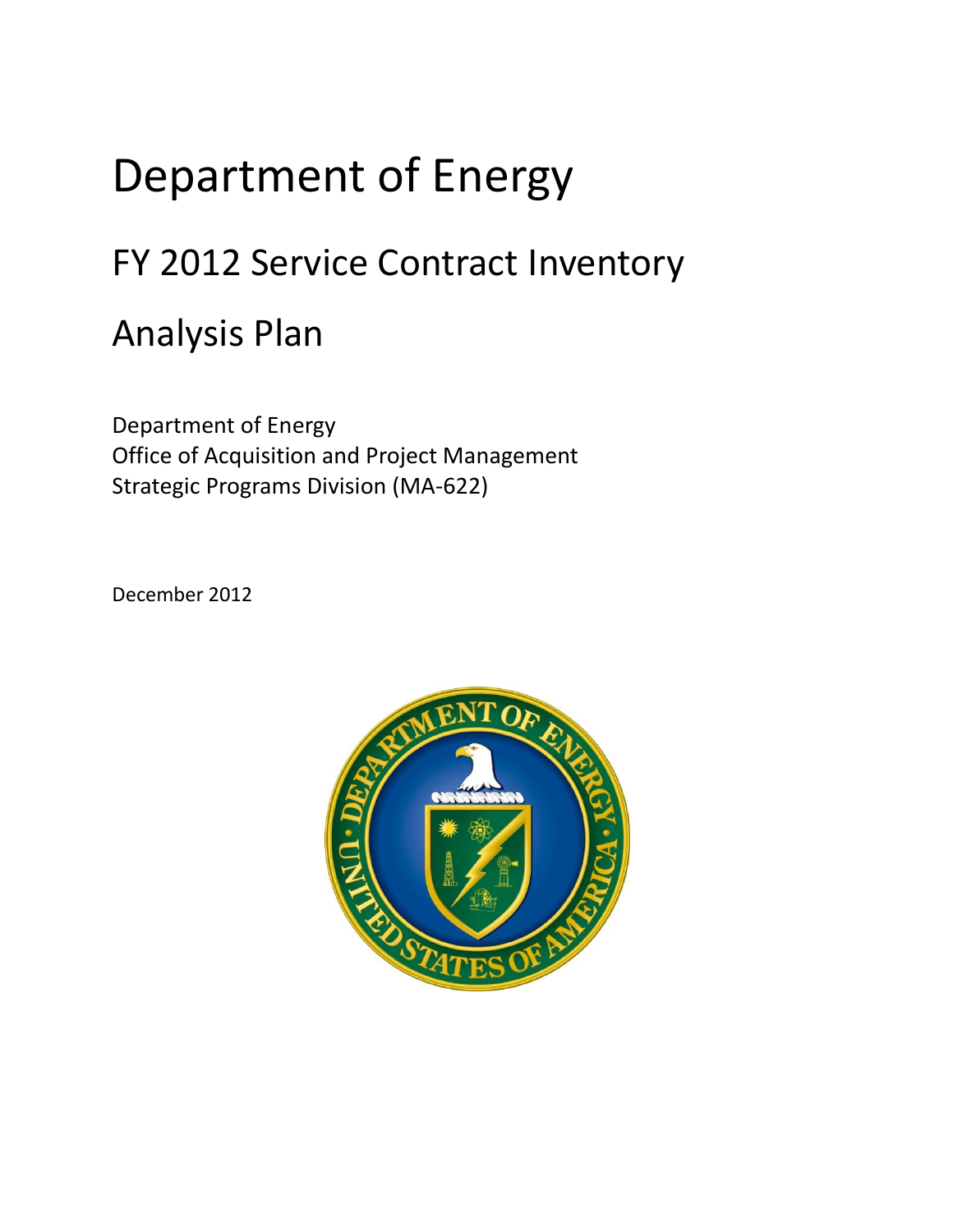## Department of Energy

## FY 2012 Service Contract Inventory

## Analysis Plan

Department of Energy Office of Acquisition and Project Management Strategic Programs Division (MA-622)

December 2012